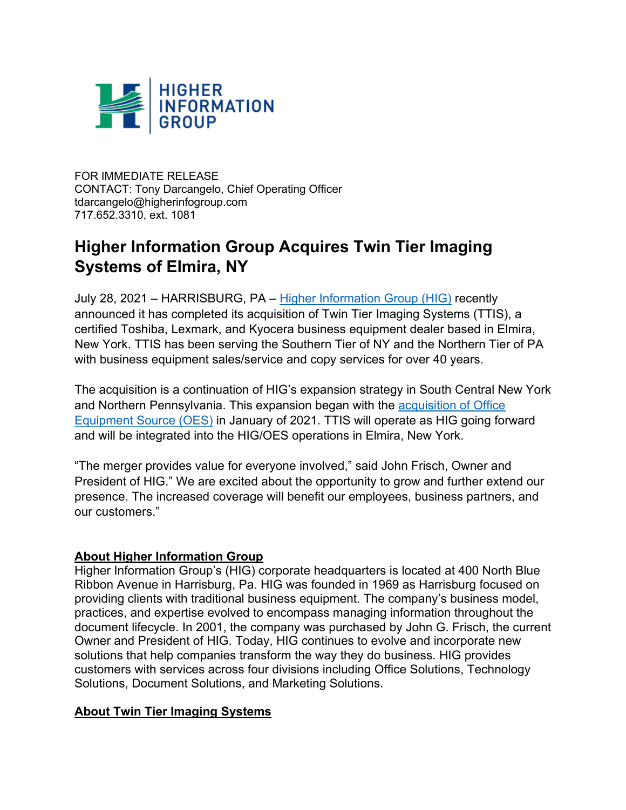

FOR IMMEDIATE RELEASE CONTACT: Tony Darcangelo, Chief Operating Officer tdarcangelo@higherinfogroup.com 717.652.3310, ext. 1081

## **Higher Information Group Acquires Twin Tier Imaging Systems of Elmira, NY**

July 28, 2021 – HARRISBURG, PA – Higher Information Group (HIG) recently announced it has completed its acquisition of Twin Tier Imaging Systems (TTIS), a certified Toshiba, Lexmark, and Kyocera business equipment dealer based in Elmira, New York. TTIS has been serving the Southern Tier of NY and the Northern Tier of PA with business equipment sales/service and copy services for over 40 years.

The acquisition is a continuation of HIG's expansion strategy in South Central New York and Northern Pennsylvania. This expansion began with the acquisition of Office Equipment Source (OES) in January of 2021. TTIS will operate as HIG going forward and will be integrated into the HIG/OES operations in Elmira, New York.

"The merger provides value for everyone involved," said John Frisch, Owner and President of HIG." We are excited about the opportunity to grow and further extend our presence. The increased coverage will benefit our employees, business partners, and our customers."

## **About Higher Information Group**

Higher Information Group's (HIG) corporate headquarters is located at 400 North Blue Ribbon Avenue in Harrisburg, Pa. HIG was founded in 1969 as Harrisburg focused on providing clients with traditional business equipment. The company's business model, practices, and expertise evolved to encompass managing information throughout the document lifecycle. In 2001, the company was purchased by John G. Frisch, the current Owner and President of HIG. Today, HIG continues to evolve and incorporate new solutions that help companies transform the way they do business. HIG provides customers with services across four divisions including Office Solutions, Technology Solutions, Document Solutions, and Marketing Solutions.

## **About Twin Tier Imaging Systems**